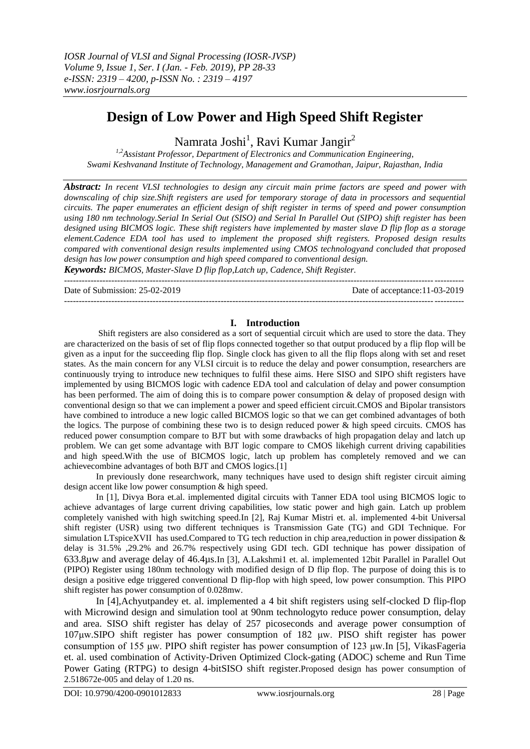# **Design of Low Power and High Speed Shift Register**

Namrata Joshi<sup>1</sup>, Ravi Kumar Jangir<sup>2</sup>

*1,2Assistant Professor, Department of Electronics and Communication Engineering, Swami Keshvanand Institute of Technology, Management and Gramothan, Jaipur, Rajasthan, India*

*Abstract: In recent VLSI technologies to design any circuit main prime factors are speed and power with downscaling of chip size.Shift registers are used for temporary storage of data in processors and sequential circuits. The paper enumerates an efficient design of shift register in terms of speed and power consumption using 180 nm technology.Serial In Serial Out (SISO) and Serial In Parallel Out (SIPO) shift register has been designed using BICMOS logic. These shift registers have implemented by master slave D flip flop as a storage element.Cadence EDA tool has used to implement the proposed shift registers. Proposed design results compared with conventional design results implemented using CMOS technologyand concluded that proposed design has low power consumption and high speed compared to conventional design.*

*Keywords: BICMOS, Master-Slave D flip flop,Latch up, Cadence, Shift Register.* ---------------------------------------------------------------------------------------------------------------------------------------

Date of Submission: 25-02-2019 Date of acceptance:11-03-2019

---------------------------------------------------------------------------------------------------------------------------------------

# **I. Introduction**

Shift registers are also considered as a sort of sequential circuit which are used to store the data. They are characterized on the basis of set of flip flops connected together so that output produced by a flip flop will be given as a input for the succeeding flip flop. Single clock has given to all the flip flops along with set and reset states. As the main concern for any VLSI circuit is to reduce the delay and power consumption, researchers are continuously trying to introduce new techniques to fulfil these aims. Here SISO and SIPO shift registers have implemented by using BICMOS logic with cadence EDA tool and calculation of delay and power consumption has been performed. The aim of doing this is to compare power consumption & delay of proposed design with conventional design so that we can implement a power and speed efficient circuit.CMOS and Bipolar transistors have combined to introduce a new logic called BICMOS logic so that we can get combined advantages of both the logics. The purpose of combining these two is to design reduced power  $\&$  high speed circuits. CMOS has reduced power consumption compare to BJT but with some drawbacks of high propagation delay and latch up problem. We can get some advantage with BJT logic compare to CMOS likehigh current driving capabilities and high speed.With the use of BICMOS logic, latch up problem has completely removed and we can achievecombine advantages of both BJT and CMOS logics.[1]

In previously done researchwork, many techniques have used to design shift register circuit aiming design accent like low power consumption & high speed.

In [1], Divya Bora et.al. implemented digital circuits with Tanner EDA tool using BICMOS logic to achieve advantages of large current driving capabilities, low static power and high gain. Latch up problem completely vanished with high switching speed.In [2], Raj Kumar Mistri et. al. implemented 4-bit Universal shift register (USR) using two different techniques is Transmission Gate (TG) and GDI Technique. For simulation LTspiceXVII has used.Compared to TG tech reduction in chip area,reduction in power dissipation & delay is 31.5% ,29.2% and 26.7% respectively using GDI tech. GDI technique has power dissipation of 633.8µw and average delay of 46.4µs.In [3], A.Lakshmi1 et. al. implemented 12bit Parallel in Parallel Out (PIPO) Register using 180nm technology with modified design of D flip flop. The purpose of doing this is to design a positive edge triggered conventional D flip-flop with high speed, low power consumption. This PIPO shift register has power consumption of 0.028mw.

In [4],Achyutpandey et. al. implemented a 4 bit shift registers using self-clocked D flip-flop with Microwind design and simulation tool at 90nm technologyto reduce power consumption, delay and area. SISO shift register has delay of 257 picoseconds and average power consumption of 107μw.SIPO shift register has power consumption of 182 μw. PISO shift register has power consumption of 155 μw. PIPO shift register has power consumption of 123 μw.In [5], VikasFageria et. al. used combination of Activity-Driven Optimized Clock-gating (ADOC) scheme and Run Time Power Gating (RTPG) to design 4-bitSISO shift register.Proposed design has power consumption of 2.518672e-005 and delay of 1.20 ns.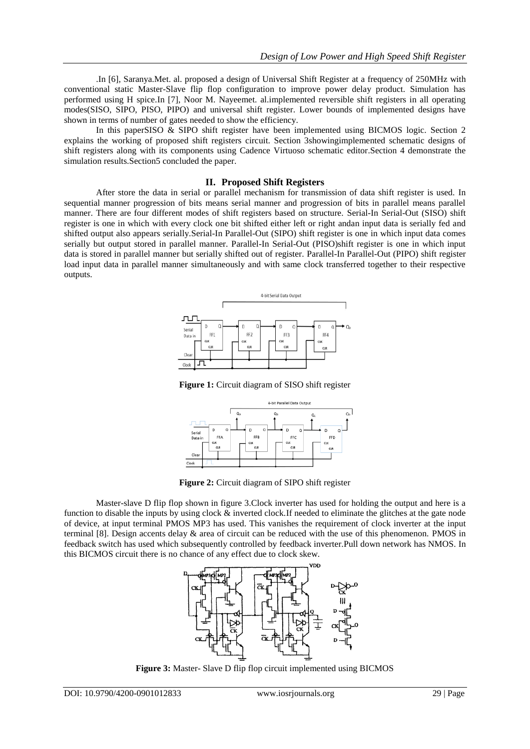.In [6], Saranya.Met. al. proposed a design of Universal Shift Register at a frequency of 250MHz with conventional static Master-Slave flip flop configuration to improve power delay product. Simulation has performed using H spice.In [7], Noor M. Nayeemet. al.implemented reversible shift registers in all operating modes(SISO, SIPO, PISO, PIPO) and universal shift register. Lower bounds of implemented designs have shown in terms of number of gates needed to show the efficiency.

In this paperSISO & SIPO shift register have been implemented using BICMOS logic. Section 2 explains the working of proposed shift registers circuit. Section 3showingimplemented schematic designs of shift registers along with its components using Cadence Virtuoso schematic editor.Section 4 demonstrate the simulation results.Section5 concluded the paper.

# **II. Proposed Shift Registers**

After store the data in serial or parallel mechanism for transmission of data shift register is used. In sequential manner progression of bits means serial manner and progression of bits in parallel means parallel manner. There are four different modes of shift registers based on structure. Serial-In Serial-Out (SISO) shift register is one in which with every clock one bit shifted either left or right andan input data is serially fed and shifted output also appears serially.Serial-In Parallel-Out (SIPO) shift register is one in which input data comes serially but output stored in parallel manner. Parallel-In Serial-Out (PISO)shift register is one in which input data is stored in parallel manner but serially shifted out of register. Parallel-In Parallel-Out (PIPO) shift register load input data in parallel manner simultaneously and with same clock transferred together to their respective outputs.



**Figure 1:** Circuit diagram of SISO shift register



**Figure 2:** Circuit diagram of SIPO shift register

Master-slave D flip flop shown in figure 3.Clock inverter has used for holding the output and here is a function to disable the inputs by using clock & inverted clock.If needed to eliminate the glitches at the gate node of device, at input terminal PMOS MP3 has used. This vanishes the requirement of clock inverter at the input terminal [8]. Design accents delay & area of circuit can be reduced with the use of this phenomenon. PMOS in feedback switch has used which subsequently controlled by feedback inverter.Pull down network has NMOS. In this BICMOS circuit there is no chance of any effect due to clock skew.



**Figure 3:** Master- Slave D flip flop circuit implemented using BICMOS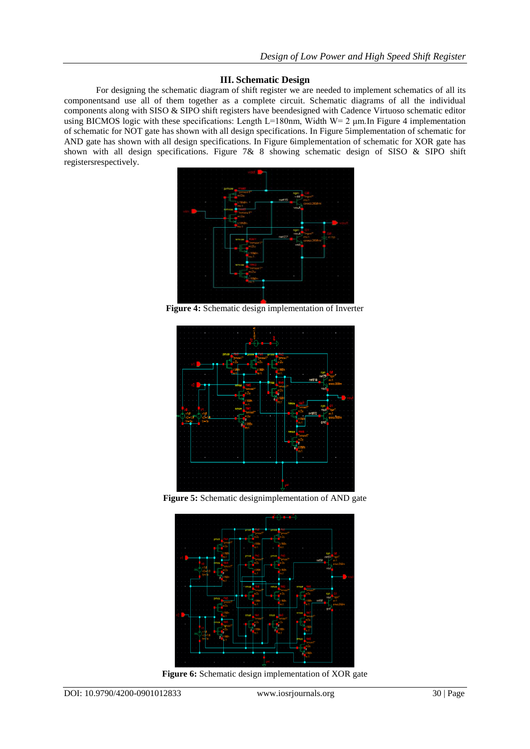### **III. Schematic Design**

For designing the schematic diagram of shift register we are needed to implement schematics of all its componentsand use all of them together as a complete circuit. Schematic diagrams of all the individual components along with SISO & SIPO shift registers have beendesigned with Cadence Virtuoso schematic editor using BICMOS logic with these specifications: Length L=180nm, Width W= 2 μm.In Figure 4 implementation of schematic for NOT gate has shown with all design specifications. In Figure 5implementation of schematic for AND gate has shown with all design specifications. In Figure 6implementation of schematic for XOR gate has shown with all design specifications. Figure 7& 8 showing schematic design of SISO & SIPO shift registersrespectively.



**Figure 4:** Schematic design implementation of Inverter



**Figure 5:** Schematic designimplementation of AND gate



**Figure 6:** Schematic design implementation of XOR gate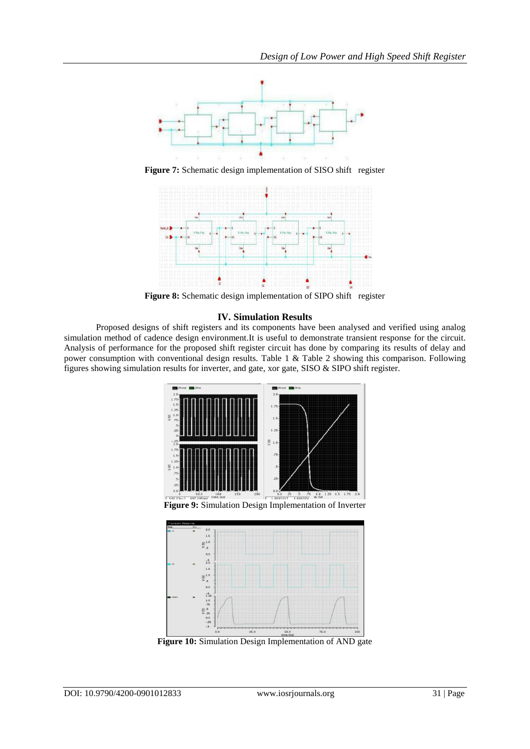

**Figure 7:** Schematic design implementation of SISO shift register



**Figure 8:** Schematic design implementation of SIPO shift register

# **IV. Simulation Results**

Proposed designs of shift registers and its components have been analysed and verified using analog simulation method of cadence design environment.It is useful to demonstrate transient response for the circuit. Analysis of performance for the proposed shift register circuit has done by comparing its results of delay and power consumption with conventional design results. Table 1 & Table 2 showing this comparison. Following figures showing simulation results for inverter, and gate, xor gate, SISO & SIPO shift register.





**Figure 10:** Simulation Design Implementation of AND gate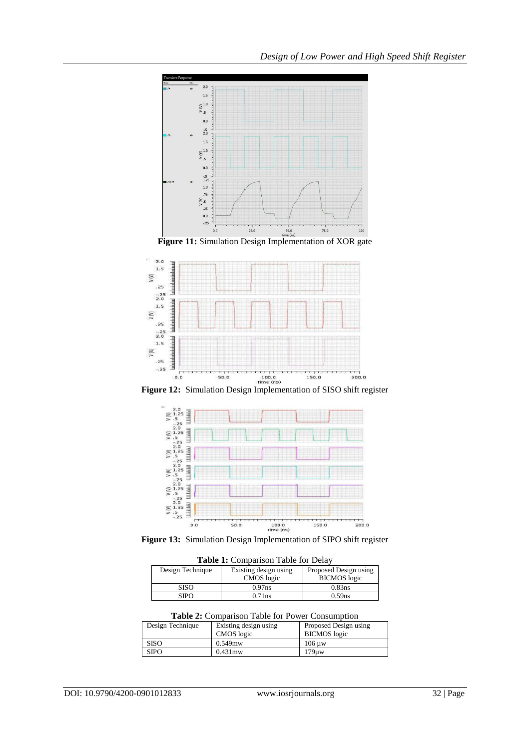



**Figure 12:** Simulation Design Implementation of SISO shift register



**Figure 13:** Simulation Design Implementation of SIPO shift register

**Table 1:** Comparison Table for Delay

| Design Technique | Existing design using | Proposed Design using |
|------------------|-----------------------|-----------------------|
|                  | CMOS logic            | <b>BICMOS</b> logic   |
| SISO             | $0.97$ ns             | $0.83$ ns             |
| SIPO             | $0.71$ ns             | $0.59$ ns             |

**Table 2:** Comparison Table for Power Consumption

| Design Technique | Existing design using<br>CMOS logic | Proposed Design using<br><b>BICMOS</b> logic |
|------------------|-------------------------------------|----------------------------------------------|
| <b>SISO</b>      | $0.549$ mw                          | $106 \text{ uw}$                             |
| <b>SIPO</b>      | $0.431$ mw                          | 179uv                                        |